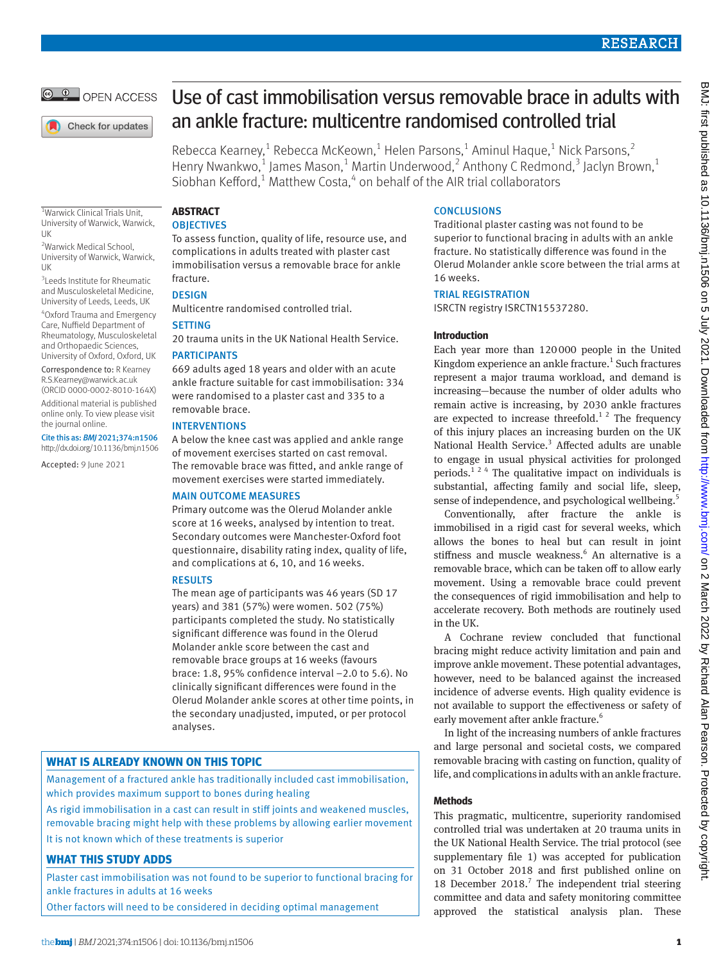

Check for updates

# Use of cast immobilisation versus removable brace in adults with an ankle fracture: multicentre randomised controlled trial

Rebecca Kearney,<sup>1</sup> Rebecca McKeown,<sup>1</sup> Helen Parsons,<sup>1</sup> Aminul Haque,<sup>1</sup> Nick Parsons,<sup>2</sup> Henry Nwankwo,<sup>1</sup> James Mason,<sup>1</sup> Martin Underwood,<sup>2</sup> Anthony C Redmond,<sup>3</sup> Jaclyn Brown,<sup>1</sup> Siobhan Kefford, $1$  Matthew Costa, $4$  on behalf of the AIR trial collaborators

1 Warwick Clinical Trials Unit, University of Warwick, Warwick, UK

<sup>2</sup>Warwick Medical School, University of Warwick, Warwick, UK

3 Leeds Institute for Rheumatic and Musculoskeletal Medicine, University of Leeds, Leeds, UK

4 Oxford Trauma and Emergency Care, Nuffield Department of Rheumatology, Musculoskeletal and Orthopaedic Sciences, University of Oxford, Oxford, UK

Correspondence to: R Kearney [R.S.Kearney@warwick.ac.uk](mailto:R.S.Kearney@warwick.ac.uk) (ORCID [0000-0002-8010-164X\)](https://orcid.org/0000-0002-8010-164X) Additional material is published online only. To view please visit the journal online.

Cite this as: *BMJ* 2021;374:n1506 http://dx.doi.org/10.1136/bmj.n1506

Accepted: 9 June 2021

# **ABSTRACT**

# **OBJECTIVES**

To assess function, quality of life, resource use, and complications in adults treated with plaster cast immobilisation versus a removable brace for ankle fracture.

# **DESIGN**

Multicentre randomised controlled trial.

# **SETTING**

20 trauma units in the UK National Health Service.

# PARTICIPANTS

669 adults aged 18 years and older with an acute ankle fracture suitable for cast immobilisation: 334 were randomised to a plaster cast and 335 to a removable brace.

# INTERVENTIONS

A below the knee cast was applied and ankle range of movement exercises started on cast removal. The removable brace was fitted, and ankle range of movement exercises were started immediately.

#### MAIN OUTCOME MEASURES

Primary outcome was the Olerud Molander ankle score at 16 weeks, analysed by intention to treat. Secondary outcomes were Manchester-Oxford foot questionnaire, disability rating index, quality of life, and complications at 6, 10, and 16 weeks.

# RESULTS

The mean age of participants was 46 years (SD 17 years) and 381 (57%) were women. 502 (75%) participants completed the study. No statistically significant difference was found in the Olerud Molander ankle score between the cast and removable brace groups at 16 weeks (favours brace: 1.8, 95% confidence interval −2.0 to 5.6). No clinically significant differences were found in the Olerud Molander ankle scores at other time points, in the secondary unadjusted, imputed, or per protocol analyses.

# **WHAT IS ALREADY KNOWN ON THIS TOPIC**

Management of a fractured ankle has traditionally included cast immobilisation, which provides maximum support to bones during healing

As rigid immobilisation in a cast can result in stiff joints and weakened muscles, removable bracing might help with these problems by allowing earlier movement

It is not known which of these treatments is superior

# **WHAT THIS STUDY ADDS**

Plaster cast immobilisation was not found to be superior to functional bracing for ankle fractures in adults at 16 weeks

Other factors will need to be considered in deciding optimal management

# **CONCLUSIONS**

Traditional plaster casting was not found to be superior to functional bracing in adults with an ankle fracture. No statistically difference was found in the Olerud Molander ankle score between the trial arms at 16 weeks.

# TRIAL REGISTRATION

ISRCTN registry [ISRCTN15537280](file:///C:\Users\priya\Documents\BMJ%20Academic\bmj.n1506\Pre-editing\ISRCTN15537280).

# **Introduction**

Each year more than 120000 people in the United Kingdom experience an ankle fracture.<sup>1</sup> Such fractures represent a major trauma workload, and demand is increasing—because the number of older adults who remain active is increasing, by 2030 ankle fractures are expected to increase threefold.<sup>1 2</sup> The frequency of this injury places an increasing burden on the UK National Health Service.<sup>3</sup> Affected adults are unable to engage in usual physical activities for prolonged periods.<sup>1 2 4</sup> The qualitative impact on individuals is substantial, affecting family and social life, sleep, sense of independence, and psychological wellbeing.<sup>5</sup>

Conventionally, after fracture the ankle is immobilised in a rigid cast for several weeks, which allows the bones to heal but can result in joint stiffness and muscle weakness.<sup>6</sup> An alternative is a removable brace, which can be taken off to allow early movement. Using a removable brace could prevent the consequences of rigid immobilisation and help to accelerate recovery. Both methods are routinely used in the UK.

A Cochrane review concluded that functional bracing might reduce activity limitation and pain and improve ankle movement. These potential advantages, however, need to be balanced against the increased incidence of adverse events. High quality evidence is not available to support the effectiveness or safety of early movement after ankle fracture.<sup>6</sup>

In light of the increasing numbers of ankle fractures and large personal and societal costs, we compared removable bracing with casting on function, quality of life, and complications in adults with an ankle fracture.

# **Methods**

This pragmatic, multicentre, superiority randomised controlled trial was undertaken at 20 trauma units in the UK National Health Service. The trial protocol (see supplementary file 1) was accepted for publication on 31 October 2018 and first published online on 18 December 2018.<sup>7</sup> The independent trial steering committee and data and safety monitoring committee approved the statistical analysis plan. These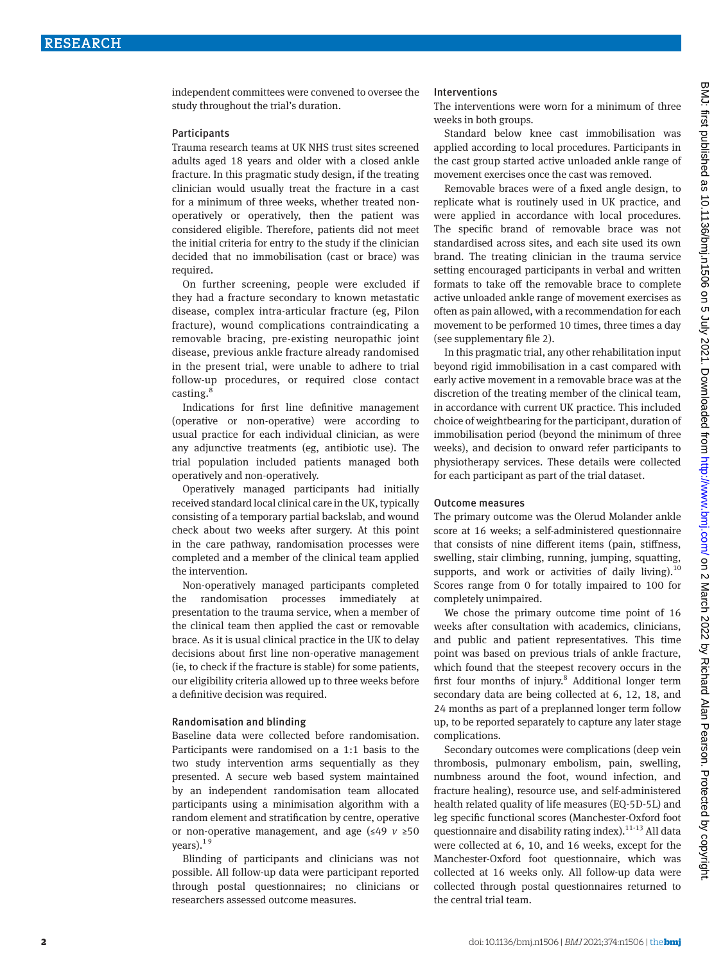independent committees were convened to oversee the study throughout the trial's duration.

#### **Participants**

Trauma research teams at UK NHS trust sites screened adults aged 18 years and older with a closed ankle fracture. In this pragmatic study design, if the treating clinician would usually treat the fracture in a cast for a minimum of three weeks, whether treated nonoperatively or operatively, then the patient was considered eligible. Therefore, patients did not meet the initial criteria for entry to the study if the clinician decided that no immobilisation (cast or brace) was required.

On further screening, people were excluded if they had a fracture secondary to known metastatic disease, complex intra-articular fracture (eg, Pilon fracture), wound complications contraindicating a removable bracing, pre-existing neuropathic joint disease, previous ankle fracture already randomised in the present trial, were unable to adhere to trial follow-up procedures, or required close contact casting.<sup>8</sup>

Indications for first line definitive management (operative or non-operative) were according to usual practice for each individual clinician, as were any adjunctive treatments (eg, antibiotic use). The trial population included patients managed both operatively and non-operatively.

Operatively managed participants had initially received standard local clinical care in the UK, typically consisting of a temporary partial backslab, and wound check about two weeks after surgery. At this point in the care pathway, randomisation processes were completed and a member of the clinical team applied the intervention.

Non-operatively managed participants completed the randomisation processes immediately at presentation to the trauma service, when a member of the clinical team then applied the cast or removable brace. As it is usual clinical practice in the UK to delay decisions about first line non-operative management (ie, to check if the fracture is stable) for some patients, our eligibility criteria allowed up to three weeks before a definitive decision was required.

#### Randomisation and blinding

Baseline data were collected before randomisation. Participants were randomised on a 1:1 basis to the two study intervention arms sequentially as they presented. A secure web based system maintained by an independent randomisation team allocated participants using a minimisation algorithm with a random element and stratification by centre, operative or non-operative management, and age (≤49 *v* ≥50 years). $1<sup>9</sup>$ 

Blinding of participants and clinicians was not possible. All follow-up data were participant reported through postal questionnaires; no clinicians or researchers assessed outcome measures.

#### Interventions

The interventions were worn for a minimum of three weeks in both groups.

Standard below knee cast immobilisation was applied according to local procedures. Participants in the cast group started active unloaded ankle range of movement exercises once the cast was removed.

Removable braces were of a fixed angle design, to replicate what is routinely used in UK practice, and were applied in accordance with local procedures. The specific brand of removable brace was not standardised across sites, and each site used its own brand. The treating clinician in the trauma service setting encouraged participants in verbal and written formats to take off the removable brace to complete active unloaded ankle range of movement exercises as often as pain allowed, with a recommendation for each movement to be performed 10 times, three times a day (see supplementary file 2).

In this pragmatic trial, any other rehabilitation input beyond rigid immobilisation in a cast compared with early active movement in a removable brace was at the discretion of the treating member of the clinical team, in accordance with current UK practice. This included choice of weightbearing for the participant, duration of immobilisation period (beyond the minimum of three weeks), and decision to onward refer participants to physiotherapy services. These details were collected for each participant as part of the trial dataset.

#### Outcome measures

The primary outcome was the Olerud Molander ankle score at 16 weeks; a self-administered questionnaire that consists of nine different items (pain, stiffness, swelling, stair climbing, running, jumping, squatting, supports, and work or activities of daily living).<sup>10</sup> Scores range from 0 for totally impaired to 100 for completely unimpaired.

We chose the primary outcome time point of 16 weeks after consultation with academics, clinicians, and public and patient representatives. This time point was based on previous trials of ankle fracture, which found that the steepest recovery occurs in the first four months of injury.<sup>8</sup> Additional longer term secondary data are being collected at 6, 12, 18, and 24 months as part of a preplanned longer term follow up, to be reported separately to capture any later stage complications.

Secondary outcomes were complications (deep vein thrombosis, pulmonary embolism, pain, swelling, numbness around the foot, wound infection, and fracture healing), resource use, and self-administered health related quality of life measures (EQ-5D-5L) and leg specific functional scores (Manchester-Oxford foot questionnaire and disability rating index). $11-13$  All data were collected at 6, 10, and 16 weeks, except for the Manchester-Oxford foot questionnaire, which was collected at 16 weeks only. All follow-up data were collected through postal questionnaires returned to the central trial team.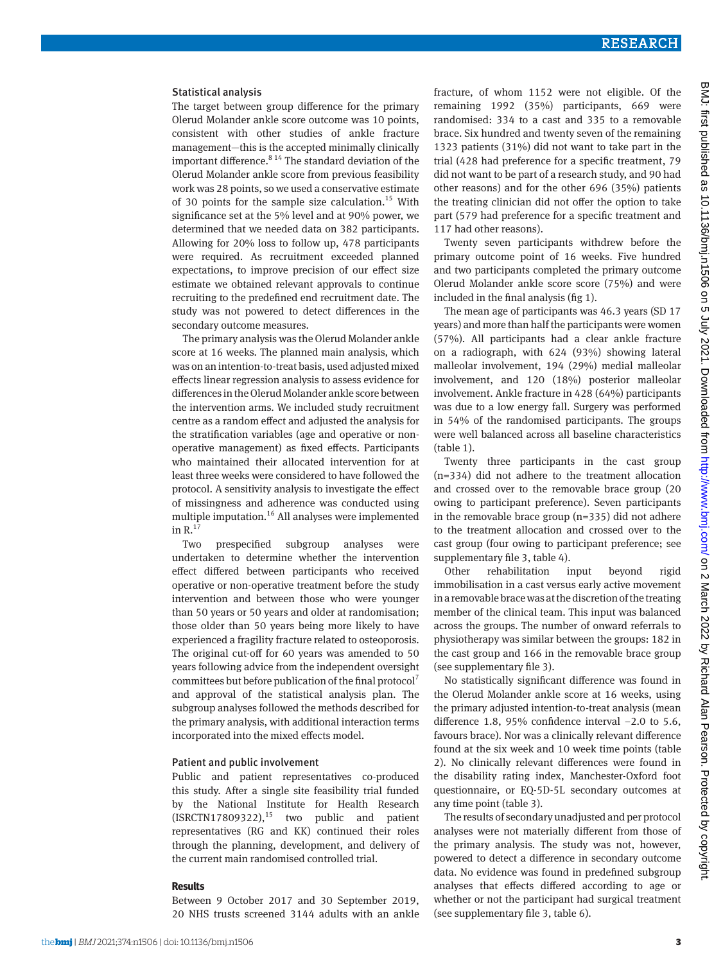#### Statistical analysis

The target between group difference for the primary Olerud Molander ankle score outcome was 10 points, consistent with other studies of ankle fracture management—this is the accepted minimally clinically important difference. $8^{14}$  The standard deviation of the Olerud Molander ankle score from previous feasibility work was 28 points, so we used a conservative estimate of 30 points for the sample size calculation.<sup>15</sup> With significance set at the 5% level and at 90% power, we determined that we needed data on 382 participants. Allowing for 20% loss to follow up, 478 participants were required. As recruitment exceeded planned expectations, to improve precision of our effect size estimate we obtained relevant approvals to continue recruiting to the predefined end recruitment date. The study was not powered to detect differences in the secondary outcome measures.

The primary analysis was the Olerud Molander ankle score at 16 weeks. The planned main analysis, which was on an intention-to-treat basis, used adjusted mixed effects linear regression analysis to assess evidence for differences in the Olerud Molander ankle score between the intervention arms. We included study recruitment centre as a random effect and adjusted the analysis for the stratification variables (age and operative or nonoperative management) as fixed effects. Participants who maintained their allocated intervention for at least three weeks were considered to have followed the protocol. A sensitivity analysis to investigate the effect of missingness and adherence was conducted using multiple imputation.<sup>16</sup> All analyses were implemented in  $R^{17}$ 

Two prespecified subgroup analyses were undertaken to determine whether the intervention effect differed between participants who received operative or non-operative treatment before the study intervention and between those who were younger than 50 years or 50 years and older at randomisation; those older than 50 years being more likely to have experienced a fragility fracture related to osteoporosis. The original cut-off for 60 years was amended to 50 years following advice from the independent oversight committees but before publication of the final protocol<sup>7</sup> and approval of the statistical analysis plan. The subgroup analyses followed the methods described for the primary analysis, with additional interaction terms incorporated into the mixed effects model.

#### Patient and public involvement

Public and patient representatives co-produced this study. After a single site feasibility trial funded by the National Institute for Health Research  $(ISRCTN17809322),<sup>15</sup>$  two public and patient representatives (RG and KK) continued their roles through the planning, development, and delivery of the current main randomised controlled trial.

# **Results**

Between 9 October 2017 and 30 September 2019, 20 NHS trusts screened 3144 adults with an ankle fracture, of whom 1152 were not eligible. Of the remaining 1992 (35%) participants, 669 were randomised: 334 to a cast and 335 to a removable brace. Six hundred and twenty seven of the remaining 1323 patients (31%) did not want to take part in the trial (428 had preference for a specific treatment, 79 did not want to be part of a research study, and 90 had other reasons) and for the other 696 (35%) patients the treating clinician did not offer the option to take part (579 had preference for a specific treatment and 117 had other reasons).

Twenty seven participants withdrew before the primary outcome point of 16 weeks. Five hundred and two participants completed the primary outcome Olerud Molander ankle score score (75%) and were included in the final analysis (fig 1).

The mean age of participants was 46.3 years (SD 17 years) and more than half the participants were women (57%). All participants had a clear ankle fracture on a radiograph, with 624 (93%) showing lateral malleolar involvement, 194 (29%) medial malleolar involvement, and 120 (18%) posterior malleolar involvement. Ankle fracture in 428 (64%) participants was due to a low energy fall. Surgery was performed in 54% of the randomised participants. The groups were well balanced across all baseline characteristics (table 1).

Twenty three participants in the cast group (n=334) did not adhere to the treatment allocation and crossed over to the removable brace group (20 owing to participant preference). Seven participants in the removable brace group (n=335) did not adhere to the treatment allocation and crossed over to the cast group (four owing to participant preference; see supplementary file 3, table 4).

Other rehabilitation input beyond rigid immobilisation in a cast versus early active movement in a removable brace was at the discretion of the treating member of the clinical team. This input was balanced across the groups. The number of onward referrals to physiotherapy was similar between the groups: 182 in the cast group and 166 in the removable brace group (see supplementary file 3).

No statistically significant difference was found in the Olerud Molander ankle score at 16 weeks, using the primary adjusted intention-to-treat analysis (mean difference 1.8, 95% confidence interval −2.0 to 5.6, favours brace). Nor was a clinically relevant difference found at the six week and 10 week time points (table 2). No clinically relevant differences were found in the disability rating index, Manchester-Oxford foot questionnaire, or EQ-5D-5L secondary outcomes at any time point (table 3).

The results of secondary unadjusted and per protocol analyses were not materially different from those of the primary analysis. The study was not, however, powered to detect a difference in secondary outcome data. No evidence was found in predefined subgroup analyses that effects differed according to age or whether or not the participant had surgical treatment (see supplementary file 3, table 6).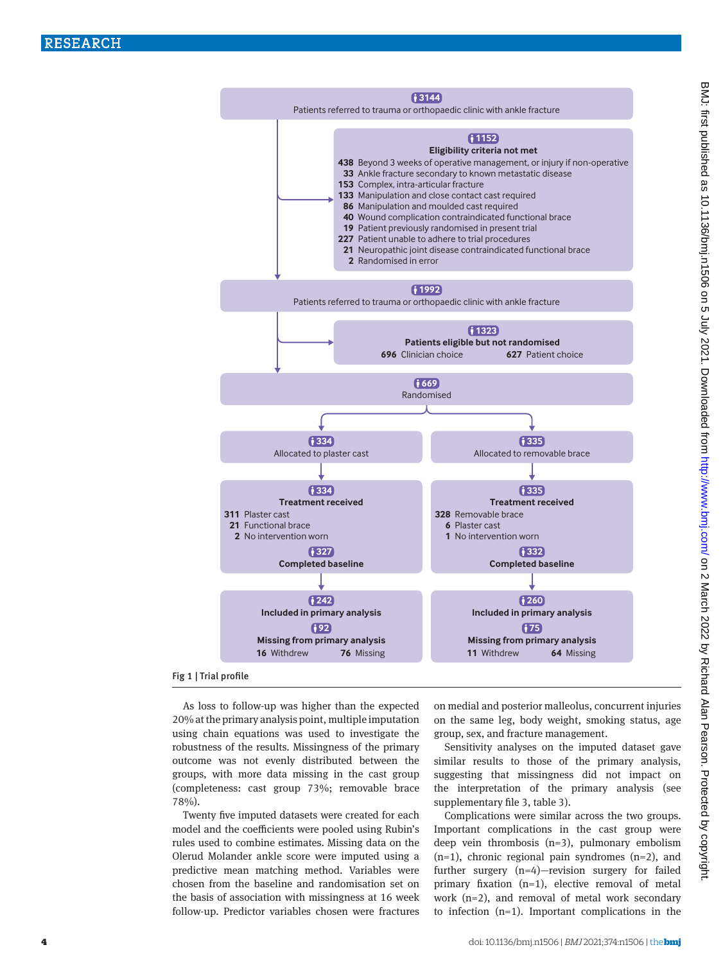

#### Fig 1 | Trial profile

As loss to follow-up was higher than the expected 20% at the primary analysis point, multiple imputation using chain equations was used to investigate the robustness of the results. Missingness of the primary outcome was not evenly distributed between the groups, with more data missing in the cast group (completeness: cast group 73%; removable brace 78%).

Twenty five imputed datasets were created for each model and the coefficients were pooled using Rubin's rules used to combine estimates. Missing data on the Olerud Molander ankle score were imputed using a predictive mean matching method. Variables were chosen from the baseline and randomisation set on the basis of association with missingness at 16 week follow-up. Predictor variables chosen were fractures on medial and posterior malleolus, concurrent injuries on the same leg, body weight, smoking status, age group, sex, and fracture management.

Sensitivity analyses on the imputed dataset gave similar results to those of the primary analysis, suggesting that missingness did not impact on the interpretation of the primary analysis (see supplementary file 3, table 3).

Complications were similar across the two groups. Important complications in the cast group were deep vein thrombosis (n=3), pulmonary embolism  $(n=1)$ , chronic regional pain syndromes  $(n=2)$ , and further surgery (n=4)—revision surgery for failed primary fixation (n=1), elective removal of metal work (n=2), and removal of metal work secondary to infection (n=1). Important complications in the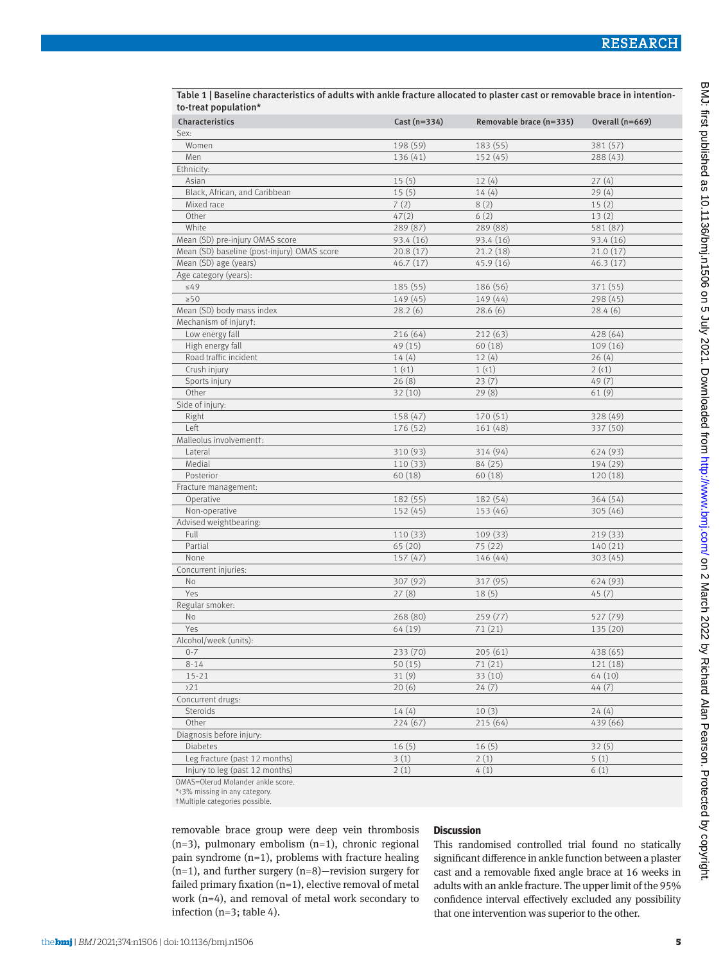| to-treat population*                        |                |                         |                 |
|---------------------------------------------|----------------|-------------------------|-----------------|
| Characteristics                             | Cast $(n=334)$ | Removable brace (n=335) | Overall (n=669) |
| Sex:                                        |                |                         |                 |
| Women                                       | 198 (59)       | 183 (55)                | 381 (57)        |
| Men                                         | 136 (41)       | 152(45)                 | 288(43)         |
| Ethnicity:                                  |                |                         |                 |
| Asian                                       | 15(5)          | 12(4)                   | 27(4)           |
| Black, African, and Caribbean               | 15(5)          | 14(4)                   | 29(4)           |
| Mixed race                                  | 7(2)           | 8(2)                    | 15(2)           |
| Other                                       | 47(2)          | 6(2)                    | 13(2)           |
| White                                       | 289 (87)       | 289 (88)                | 581 (87)        |
| Mean (SD) pre-injury OMAS score             | 93.4 (16)      | 93.4(16)                | 93.4(16)        |
| Mean (SD) baseline (post-injury) OMAS score | 20.8(17)       | 21.2(18)                | 21.0(17)        |
| Mean (SD) age (years)                       | 46.7(17)       | 45.9(16)                | 46.3(17)        |
| Age category (years):                       |                |                         |                 |
| $\leq 49$                                   | 185 (55)       | 186 (56)                | 371 (55)        |
| $\geq 50$                                   | 149 (45)       | 149(44)                 | 298(45)         |
| Mean (SD) body mass index                   | 28.2(6)        | 28.6(6)                 | 28.4(6)         |
| Mechanism of injuryt:                       |                |                         |                 |
| Low energy fall                             | 216 (64)       | 212(63)                 | 428 (64)        |
| High energy fall                            | 49(15)         | 60(18)                  | 109(16)         |
| Road traffic incident                       | 14(4)          | 12(4)                   | 26(4)           |
| Crush injury                                | 1(1)           | 1(1)                    | 2(1)            |
| Sports injury                               | 26(8)          | 23(7)                   | 49(7)           |
| Other                                       | 32(10)         | 29(8)                   | 61(9)           |
| Side of injury:                             |                |                         |                 |
| Right                                       | 158 (47)       | 170(51)                 | 328 (49)        |
| Left                                        | 176 (52)       | 161 (48)                | 337 (50)        |
| Malleolus involvementt:                     |                |                         |                 |
| Lateral                                     | 310 (93)       | 314 (94)                | 624 (93)        |
| Medial                                      | 110 (33)       | 84 (25)                 | 194 (29)        |
| Posterior                                   | 60(18)         | 60(18)                  | 120 (18)        |
| Fracture management:                        |                |                         |                 |
| Operative                                   | 182 (55)       | 182 (54)                | 364 (54)        |
| Non-operative                               | 152(45)        | 153 (46)                | 305 (46)        |
| Advised weightbearing:                      |                |                         |                 |
| Full                                        | 110 (33)       | 109(33)                 | 219 (33)        |
| Partial                                     | 65(20)         | 75 (22)                 | 140(21)         |
| None                                        | 157(47)        | 146 (44)                | 303(45)         |
| Concurrent injuries:                        |                |                         |                 |
| No                                          | 307 (92)       | 317 (95)                | 624 (93)        |
| Yes                                         | 27(8)          | 18(5)                   | 45(7)           |
| Regular smoker:                             |                |                         |                 |
| No                                          | 268 (80)       | 259(77)                 | 527 (79)        |
| Yes                                         | 64 (19)        | 71(21)                  | 135 (20)        |
| Alcohol/week (units):                       |                |                         |                 |
| $0 - 7$                                     | 233 (70)       | 205(61)                 | 438 (65)        |
| $8 - 14$                                    | 50(15)         | 71(21)                  | 121 (18)        |
| $15 - 21$                                   | 31(9)          | 33(10)                  | 64 (10)         |
| >21                                         | 20(6)          | 24(7)                   | 44(7)           |
| Concurrent drugs:                           |                |                         |                 |
| Steroids                                    | 14(4)          | 10(3)                   | 24(4)           |
| Other                                       | 224(67)        | 215 (64)                | 439 (66)        |
| Diagnosis before injury:                    |                |                         |                 |
| Diabetes                                    | 16(5)          | 16(5)                   | 32(5)           |
| Leg fracture (past 12 months)               | 3(1)           | 2(1)                    | 5(1)            |
| Injury to leg (past 12 months)              | 2(1)           | 4(1)                    | 6(1)            |

Table 1 | Baseline characteristics of adults with ankle fracture allocated to plaster cast or removable brace in intention-

OMAS=Olerud Molander ankle score.

\*<3% missing in any category.

†Multiple categories possible.

removable brace group were deep vein thrombosis  $(n=3)$ , pulmonary embolism  $(n=1)$ , chronic regional pain syndrome (n=1), problems with fracture healing (n=1), and further surgery (n=8)—revision surgery for failed primary fixation  $(n=1)$ , elective removal of metal work (n=4), and removal of metal work secondary to infection (n=3; table 4).

#### **Discussion**

This randomised controlled trial found no statically significant difference in ankle function between a plaster cast and a removable fixed angle brace at 16 weeks in adults with an ankle fracture. The upper limit of the 95% confidence interval effectively excluded any possibility that one intervention was superior to the other.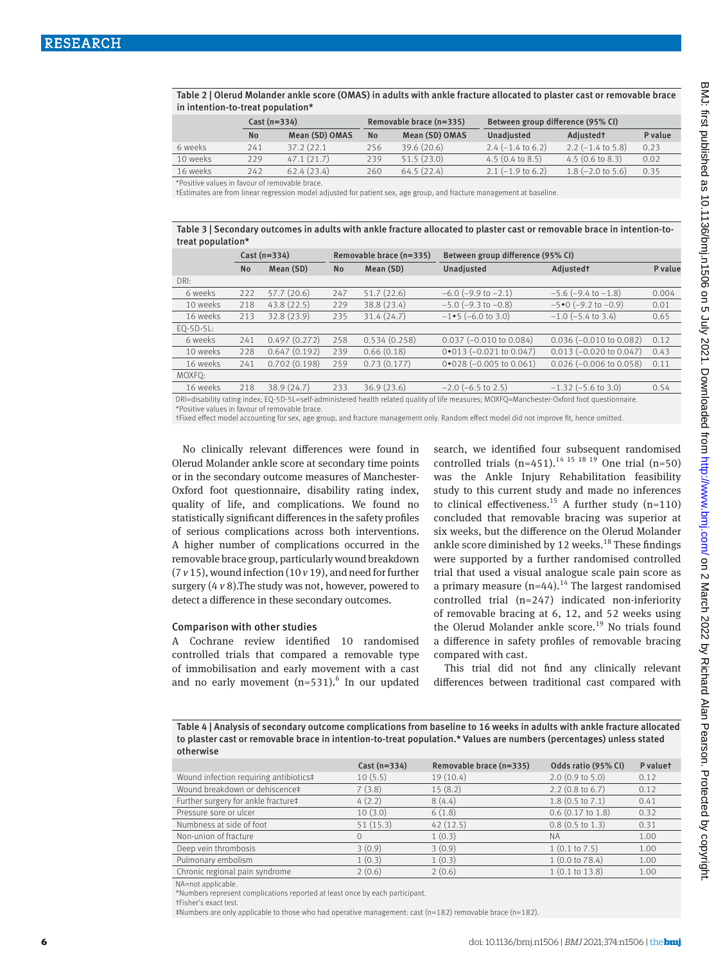Table 2 | Olerud Molander ankle score (OMAS) in adults with ankle fracture allocated to plaster cast or removable brace in intention-to-treat population\*

|                                                                                                                                                                                                                                             | $Cast (n=334)$ |                | Removable brace (n=335) |                | Between group difference (95% CI) |                            |         |
|---------------------------------------------------------------------------------------------------------------------------------------------------------------------------------------------------------------------------------------------|----------------|----------------|-------------------------|----------------|-----------------------------------|----------------------------|---------|
|                                                                                                                                                                                                                                             | <b>No</b>      | Mean (SD) OMAS | <b>No</b>               | Mean (SD) OMAS | Unadjusted                        | Adjusted <sup>†</sup>      | P value |
| 6 weeks                                                                                                                                                                                                                                     | 241            | 37.2 (22.1)    | 256                     | 39.6(20.6)     | $2.4(-1.4 \text{ to } 6.2)$       | $2.2$ (-1.4 to 5.8)        | 0.23    |
| 10 weeks                                                                                                                                                                                                                                    | 229            | 47.1(21.7)     | 239                     | 51.5(23.0)     | $4.5(0.4 \text{ to } 8.5)$        | $4.5(0.6 \text{ to } 8.3)$ | 0.02    |
| 16 weeks                                                                                                                                                                                                                                    | 242            | 62.4(23.4)     | 260                     | 64.5(22.4)     | $2.1$ (-1.9 to 6.2)               | $1.8$ (-2.0 to 5.6)        | 0.35    |
| $\mathcal{L} \cap \mathcal{L}$ . The contract of the contract of the contract of the contract of the contract of the contract of the contract of the contract of the contract of the contract of the contract of the contract of the contra |                |                |                         |                |                                   |                            |         |

Positive values in favour of removable brace

†Estimates are from linear regression model adjusted for patient sex, age group, and fracture management at baseline.

Table 3 | Secondary outcomes in adults with ankle fracture allocated to plaster cast or removable brace in intention-totreat population\*

|                                                                                                                 | $Cast(n=334)$ |              |     | Removable brace (n=335) | Between group difference (95% CI)   |                                    |         |  |
|-----------------------------------------------------------------------------------------------------------------|---------------|--------------|-----|-------------------------|-------------------------------------|------------------------------------|---------|--|
|                                                                                                                 | <b>No</b>     | Mean (SD)    | No  | Mean (SD)               | Unadjusted                          | <b>Adjustedt</b>                   | P value |  |
| DRI:                                                                                                            |               |              |     |                         |                                     |                                    |         |  |
| 6 weeks                                                                                                         | 222           | 57.7(20.6)   | 247 | 51.7(22.6)              | $-6.0$ ( $-9.9$ to $-2.1$ )         | $-5.6$ ( $-9.4$ to $-1.8$ )        | 0.004   |  |
| 10 weeks                                                                                                        | 218           | 43.8(22.5)   | 229 | 38.8 (23.4)             | $-5.0$ ( $-9.3$ to $-0.8$ )         | $-5 \cdot 0$ (-9.2 to -0.9)        | 0.01    |  |
| 16 weeks                                                                                                        | 213           | 32.8 (23.9)  | 235 | 31.4 (24.7)             | $-1 \cdot 5 (-6.0 \text{ to } 3.0)$ | $-1.0$ ( $-5.4$ to 3.4)            | 0.65    |  |
| $EQ-5D-5L$                                                                                                      |               |              |     |                         |                                     |                                    |         |  |
| 6 weeks                                                                                                         | 241           | 0.497(0.272) | 258 | 0.534(0.258)            | $0.037$ (-0.010 to 0.084)           | $0.036$ (-0.010 to 0.082)          | 0.12    |  |
| 10 weeks                                                                                                        | 228           | 0.647(0.192) | 239 | 0.66(0.18)              | $0*013 (-0.021$ to 0.047)           | $0.013 (-0.020 \text{ to } 0.047)$ | 0.43    |  |
| 16 weeks                                                                                                        | 241           | 0.702(0.198) | 259 | 0.73(0.177)             | $0*028$ (-0.005 to 0.061)           | $0.026$ (-0.006 to 0.058)          | 0.11    |  |
| MOXFQ:                                                                                                          |               |              |     |                         |                                     |                                    |         |  |
| 16 weeks                                                                                                        | 218           | 38.9(24.7)   | 233 | 36.9(23.6)              | $-2.0$ ( $-6.5$ to 2.5)             | $-1.32$ ( $-5.6$ to 3.0)           | 0.54    |  |
| the contract of the contract of the contract of the contract of the contract of the contract of the contract of |               |              |     |                         |                                     |                                    |         |  |

DRI=disability rating index; EQ-5D-5L=self-administered health related quality of life measures; MOXFQ=Manchester-Oxford foot questionnaire. \*Positive values in favour of removable brace.

†Fixed effect model accounting for sex, age group, and fracture management only. Random effect model did not improve fit, hence omitted.

No clinically relevant differences were found in Olerud Molander ankle score at secondary time points or in the secondary outcome measures of Manchester-Oxford foot questionnaire, disability rating index, quality of life, and complications. We found no statistically significant differences in the safety profiles of serious complications across both interventions. A higher number of complications occurred in the removable brace group, particularly wound breakdown (7 *v* 15), wound infection (10 *v* 19), and need for further surgery (4 *v* 8).The study was not, however, powered to detect a difference in these secondary outcomes.

#### Comparison with other studies

A Cochrane review identified 10 randomised controlled trials that compared a removable type of immobilisation and early movement with a cast and no early movement  $(n=531)$ .<sup>6</sup> In our updated search, we identified four subsequent randomised controlled trials  $(n=451).^{14}$  <sup>15</sup> <sup>18</sup> <sup>19</sup> One trial  $(n=50)$ was the Ankle Injury Rehabilitation feasibility study to this current study and made no inferences to clinical effectiveness.<sup>15</sup> A further study  $(n=110)$ concluded that removable bracing was superior at six weeks, but the difference on the Olerud Molander ankle score diminished by 12 weeks. $18$  These findings were supported by a further randomised controlled trial that used a visual analogue scale pain score as a primary measure  $(n=44)$ .<sup>14</sup> The largest randomised controlled trial (n=247) indicated non-inferiority of removable bracing at 6, 12, and 52 weeks using the Olerud Molander ankle score.<sup>19</sup> No trials found a difference in safety profiles of removable bracing compared with cast.

This trial did not find any clinically relevant differences between traditional cast compared with

Table 4 | Analysis of secondary outcome complications from baseline to 16 weeks in adults with ankle fracture allocated to plaster cast or removable brace in intention-to-treat population.\* Values are numbers (percentages) unless stated otherwise

|                                        | $Cast(n=334)$ | Removable brace (n=335) | Odds ratio (95% CI)       | P valuet |
|----------------------------------------|---------------|-------------------------|---------------------------|----------|
| Wound infection requiring antibiotics# | 10(5.5)       | 19(10.4)                | $2.0$ (0.9 to 5.0)        | 0.12     |
| Wound breakdown or dehiscence‡         | 7(3.8)        | 15(8.2)                 | $2.2$ (0.8 to 6.7)        | 0.12     |
| Further surgery for ankle fracture‡    | 4(2.2)        | 8(4.4)                  | $1.8$ (0.5 to 7.1)        | 0.41     |
| Pressure sore or ulcer                 | 10(3.0)       | 6(1.8)                  | $0.6$ $(0.17$ to $1.8)$   | 0.32     |
| Numbness at side of foot               | 51(15.3)      | 42(12.5)                | $0.8$ (0.5 to 1.3)        | 0.31     |
| Non-union of fracture                  |               | 1(0.3)                  | <b>NA</b>                 | 1.00     |
| Deep vein thrombosis                   | 3(0.9)        | 3(0.9)                  | $1(0.1 \text{ to } 7.5)$  | 1.00     |
| Pulmonary embolism                     | 1(0.3)        | 1(0.3)                  | 1(0.0 to 78.4)            | 1.00     |
| Chronic regional pain syndrome         | 2(0.6)        | 2(0.6)                  | $1(0.1 \text{ to } 13.8)$ | 1.00     |

NA=not applicable.

\*Numbers represent complications reported at least once by each participant.

†Fisher's exact test.

‡Numbers are only applicable to those who had operative management: cast (n=182) removable brace (n=182).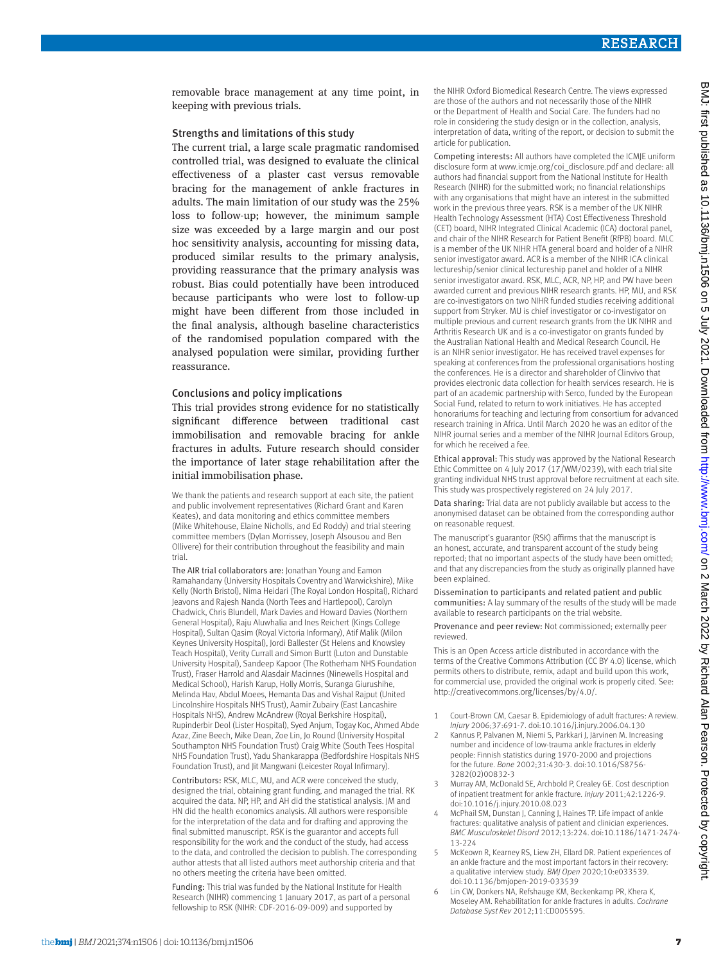removable brace management at any time point, in keeping with previous trials.

#### Strengths and limitations of this study

The current trial, a large scale pragmatic randomised controlled trial, was designed to evaluate the clinical effectiveness of a plaster cast versus removable bracing for the management of ankle fractures in adults. The main limitation of our study was the 25% loss to follow-up; however, the minimum sample size was exceeded by a large margin and our post hoc sensitivity analysis, accounting for missing data, produced similar results to the primary analysis, providing reassurance that the primary analysis was robust. Bias could potentially have been introduced because participants who were lost to follow-up might have been different from those included in the final analysis, although baseline characteristics of the randomised population compared with the analysed population were similar, providing further reassurance.

#### Conclusions and policy implications

This trial provides strong evidence for no statistically significant difference between traditional cast immobilisation and removable bracing for ankle fractures in adults. Future research should consider the importance of later stage rehabilitation after the initial immobilisation phase.

We thank the patients and research support at each site, the patient and public involvement representatives (Richard Grant and Karen Keates), and data monitoring and ethics committee members (Mike Whitehouse, Elaine Nicholls, and Ed Roddy) and trial steering committee members (Dylan Morrissey, Joseph Alsousou and Ben Ollivere) for their contribution throughout the feasibility and main trial.

The AIR trial collaborators are: Jonathan Young and Eamon Ramahandany (University Hospitals Coventry and Warwickshire), Mike Kelly (North Bristol), Nima Heidari (The Royal London Hospital), Richard Jeavons and Rajesh Nanda (North Tees and Hartlepool), Carolyn Chadwick, Chris Blundell, Mark Davies and Howard Davies (Northern General Hospital), Raju Aluwhalia and Ines Reichert (Kings College Hospital), Sultan Qasim (Royal Victoria Informary), Atif Malik (Milon Keynes University Hospital), Jordi Ballester (St Helens and Knowsley Teach Hospital), Verity Currall and Simon Burtt (Luton and Dunstable University Hospital), Sandeep Kapoor (The Rotherham NHS Foundation Trust), Fraser Harrold and Alasdair Macinnes (Ninewells Hospital and Medical School), Harish Karup, Holly Morris, Suranga Giurushihe, Melinda Hav, Abdul Moees, Hemanta Das and Vishal Rajput (United Lincolnshire Hospitals NHS Trust), Aamir Zubairy (East Lancashire Hospitals NHS), Andrew McAndrew (Royal Berkshire Hospital), Rupinderbir Deol (Lister Hospital), Syed Anjum, Togay Koc, Ahmed Abde Azaz, Zine Beech, Mike Dean, Zoe Lin, Jo Round (University Hospital Southampton NHS Foundation Trust) Craig White (South Tees Hospital NHS Foundation Trust), Yadu Shankarappa (Bedfordshire Hospitals NHS Foundation Trust), and Jit Mangwani (Leicester Royal Infirmary).

Contributors: RSK, MLC, MU, and ACR were conceived the study, designed the trial, obtaining grant funding, and managed the trial. RK acquired the data. NP, HP, and AH did the statistical analysis. JM and HN did the health economics analysis. All authors were responsible for the interpretation of the data and for drafting and approving the final submitted manuscript. RSK is the guarantor and accepts full responsibility for the work and the conduct of the study, had access to the data, and controlled the decision to publish. The corresponding author attests that all listed authors meet authorship criteria and that no others meeting the criteria have been omitted.

Funding: This trial was funded by the National Institute for Health Research (NIHR) commencing 1 January 2017, as part of a personal fellowship to RSK (NIHR: CDF-2016-09-009) and supported by

the NIHR Oxford Biomedical Research Centre. The views expressed are those of the authors and not necessarily those of the NIHR or the Department of Health and Social Care. The funders had no role in considering the study design or in the collection, analysis, interpretation of data, writing of the report, or decision to submit the article for publication.

Competing interests: All authors have completed the ICMJE uniform disclosure form at [www.icmje.org/coi\\_disclosure.pdf](http://www.icmje.org/coi_disclosure.pdf) and declare: all authors had financial support from the National Institute for Health Research (NIHR) for the submitted work; no financial relationships with any organisations that might have an interest in the submitted work in the previous three years. RSK is a member of the UK NIHR Health Technology Assessment (HTA) Cost Effectiveness Threshold (CET) board, NIHR Integrated Clinical Academic (ICA) doctoral panel, and chair of the NIHR Research for Patient Benefit (RfPB) board. MLC is a member of the UK NIHR HTA general board and holder of a NIHR senior investigator award. ACR is a member of the NIHR ICA clinical lectureship/senior clinical lectureship panel and holder of a NIHR senior investigator award. RSK, MLC, ACR, NP, HP, and PW have been awarded current and previous NIHR research grants. HP, MU, and RSK are co-investigators on two NIHR funded studies receiving additional support from Stryker. MU is chief investigator or co-investigator on multiple previous and current research grants from the UK NIHR and Arthritis Research UK and is a co-investigator on grants funded by the Australian National Health and Medical Research Council. He is an NIHR senior investigator. He has received travel expenses for speaking at conferences from the professional organisations hosting the conferences. He is a director and shareholder of Clinvivo that provides electronic data collection for health services research. He is part of an academic partnership with Serco, funded by the European Social Fund, related to return to work initiatives. He has accepted honorariums for teaching and lecturing from consortium for advanced research training in Africa. Until March 2020 he was an editor of the NIHR journal series and a member of the NIHR Journal Editors Group, for which he received a fee.

Ethical approval: This study was approved by the National Research Ethic Committee on 4 July 2017 (17/WM/0239), with each trial site granting individual NHS trust approval before recruitment at each site. This study was prospectively registered on 24 July 2017.

Data sharing: Trial data are not publicly available but access to the anonymised dataset can be obtained from the corresponding author on reasonable request.

The manuscript's guarantor (RSK) affirms that the manuscript is an honest, accurate, and transparent account of the study being reported; that no important aspects of the study have been omitted; and that any discrepancies from the study as originally planned have been explained.

Dissemination to participants and related patient and public communities: A lay summary of the results of the study will be made available to research participants on the trial website.

Provenance and peer review: Not commissioned; externally peer reviewed.

This is an Open Access article distributed in accordance with the terms of the Creative Commons Attribution (CC BY 4.0) license, which permits others to distribute, remix, adapt and build upon this work, for commercial use, provided the original work is properly cited. See: <http://creativecommons.org/licenses/by/4.0/>.

- 1 Court-Brown CM, Caesar B. Epidemiology of adult fractures: A review. *Injury* 2006;37:691-7. doi:10.1016/j.injury.2006.04.130
- 2 Kannus P, Palvanen M, Niemi S, Parkkari J, Järvinen M. Increasing number and incidence of low-trauma ankle fractures in elderly people: Finnish statistics during 1970-2000 and projections for the future. *Bone* 2002;31:430-3. doi:10.1016/S8756- 3282(02)00832-3
- 3 Murray AM, McDonald SE, Archbold P, Crealey GE. Cost description of inpatient treatment for ankle fracture. *Injury* 2011;42:1226-9. doi:10.1016/j.injury.2010.08.023
- 4 McPhail SM, Dunstan J, Canning J, Haines TP. Life impact of ankle fractures: qualitative analysis of patient and clinician experiences. *BMC Musculoskelet Disord* 2012;13:224. doi:10.1186/1471-2474- 13-224
- 5 McKeown R, Kearney RS, Liew ZH, Ellard DR. Patient experiences of an ankle fracture and the most important factors in their recovery: a qualitative interview study. *BMJ Open* 2020;10:e033539. doi:10.1136/bmjopen-2019-033539
- Lin CW, Donkers NA, Refshauge KM, Beckenkamp PR, Khera K, Moseley AM. Rehabilitation for ankle fractures in adults. *Cochrane Database Syst Rev* 2012;11:CD005595.